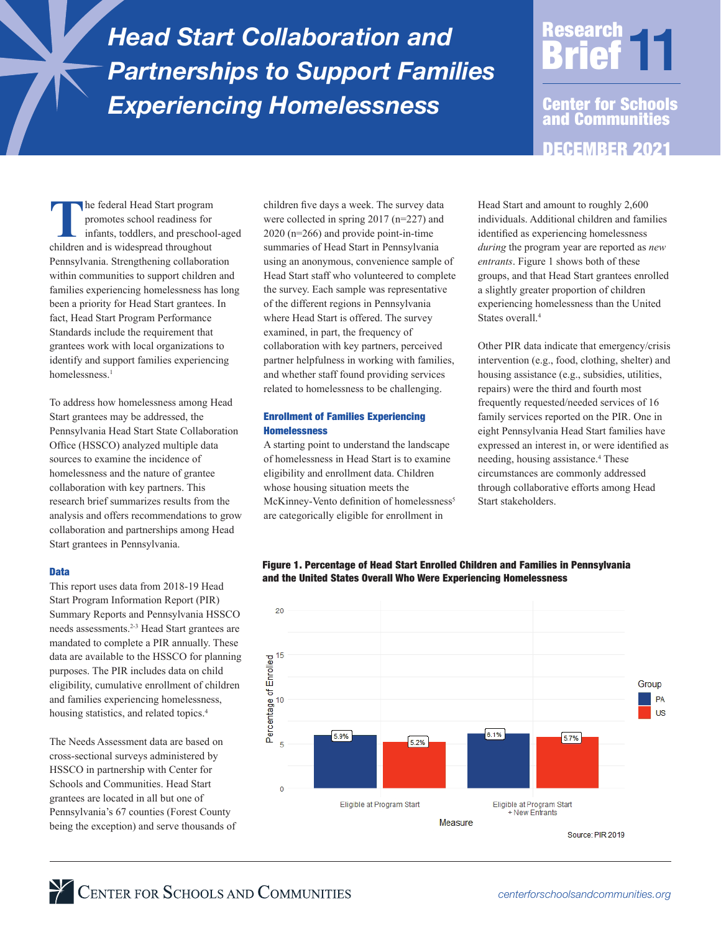# *Head Start Collaboration and Partnerships to Support Families Experiencing Homelessness*

# Research<br>**Brief**<sup>11</sup>

DECEMBER 2021 Center for Schools and Communities

**The federal Head Start program<br>promotes school readiness for<br>infants, toddlers, and preschool<br>children and is widespread throughout** promotes school readiness for infants, toddlers, and preschool-aged children and is widespread throughout Pennsylvania. Strengthening collaboration within communities to support children and families experiencing homelessness has long been a priority for Head Start grantees. In fact, Head Start Program Performance Standards include the requirement that grantees work with local organizations to identify and support families experiencing homelessness.<sup>1</sup>

To address how homelessness among Head Start grantees may be addressed, the Pennsylvania Head Start State Collaboration Office (HSSCO) analyzed multiple data sources to examine the incidence of homelessness and the nature of grantee collaboration with key partners. This research brief summarizes results from the analysis and offers recommendations to grow collaboration and partnerships among Head Start grantees in Pennsylvania.

#### **Data**

This report uses data from 2018-19 Head Start Program Information Report (PIR) Summary Reports and Pennsylvania HSSCO needs assessments.2-3 Head Start grantees are mandated to complete a PIR annually. These data are available to the HSSCO for planning purposes. The PIR includes data on child eligibility, cumulative enrollment of children and families experiencing homelessness, housing statistics, and related topics.<sup>4</sup>

The Needs Assessment data are based on cross-sectional surveys administered by HSSCO in partnership with Center for Schools and Communities. Head Start grantees are located in all but one of Pennsylvania's 67 counties (Forest County being the exception) and serve thousands of children five days a week. The survey data were collected in spring 2017 (n=227) and 2020 (n=266) and provide point-in-time summaries of Head Start in Pennsylvania using an anonymous, convenience sample of Head Start staff who volunteered to complete the survey. Each sample was representative of the different regions in Pennsylvania where Head Start is offered. The survey examined, in part, the frequency of collaboration with key partners, perceived partner helpfulness in working with families, and whether staff found providing services related to homelessness to be challenging.

#### Enrollment of Families Experiencing Homelessness

A starting point to understand the landscape of homelessness in Head Start is to examine eligibility and enrollment data. Children whose housing situation meets the McKinney-Vento definition of homelessness<sup>5</sup> are categorically eligible for enrollment in

Head Start and amount to roughly 2,600 individuals. Additional children and families identified as experiencing homelessness *during* the program year are reported as *new entrants*. Figure 1 shows both of these groups, and that Head Start grantees enrolled a slightly greater proportion of children experiencing homelessness than the United States overall.4

Other PIR data indicate that emergency/crisis intervention (e.g., food, clothing, shelter) and housing assistance (e.g., subsidies, utilities, repairs) were the third and fourth most frequently requested/needed services of 16 family services reported on the PIR. One in eight Pennsylvania Head Start families have expressed an interest in, or were identified as needing, housing assistance.<sup>4</sup> These circumstances are commonly addressed through collaborative efforts among Head Start stakeholders.

### Figure 1. Percentage of Head Start Enrolled Children and Families in Pennsylvania and the United States Overall Who Were Experiencing Homelessness

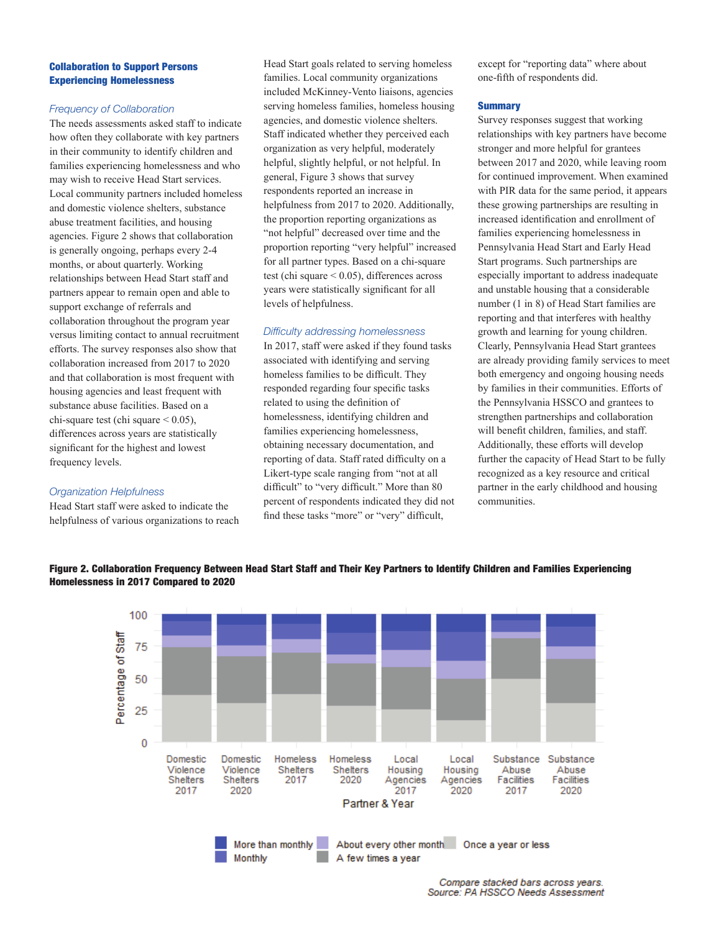#### Collaboration to Support Persons Experiencing Homelessness

### *Frequency of Collaboration*

The needs assessments asked staff to indicate how often they collaborate with key partners in their community to identify children and families experiencing homelessness and who may wish to receive Head Start services. Local community partners included homeless and domestic violence shelters, substance abuse treatment facilities, and housing agencies. Figure 2 shows that collaboration is generally ongoing, perhaps every 2-4 months, or about quarterly. Working relationships between Head Start staff and partners appear to remain open and able to support exchange of referrals and collaboration throughout the program year versus limiting contact to annual recruitment efforts. The survey responses also show that collaboration increased from 2017 to 2020 and that collaboration is most frequent with housing agencies and least frequent with substance abuse facilities. Based on a chi-square test (chi square  $\leq 0.05$ ), differences across years are statistically significant for the highest and lowest frequency levels.

# *Organization Helpfulness*

Head Start staff were asked to indicate the helpfulness of various organizations to reach

Head Start goals related to serving homeless families. Local community organizations included McKinney-Vento liaisons, agencies serving homeless families, homeless housing agencies, and domestic violence shelters. Staff indicated whether they perceived each organization as very helpful, moderately helpful, slightly helpful, or not helpful. In general, Figure 3 shows that survey respondents reported an increase in helpfulness from 2017 to 2020. Additionally, the proportion reporting organizations as "not helpful" decreased over time and the proportion reporting "very helpful" increased for all partner types. Based on a chi-square test (chi square < 0.05), differences across years were statistically significant for all levels of helpfulness.

### *Difficulty addressing homelessness*

In 2017, staff were asked if they found tasks associated with identifying and serving homeless families to be difficult. They responded regarding four specific tasks related to using the definition of homelessness, identifying children and families experiencing homelessness, obtaining necessary documentation, and reporting of data. Staff rated difficulty on a Likert-type scale ranging from "not at all difficult" to "very difficult." More than 80 percent of respondents indicated they did not find these tasks "more" or "very" difficult,

except for "reporting data" where about one-fifth of respondents did.

### **Summary**

Survey responses suggest that working relationships with key partners have become stronger and more helpful for grantees between 2017 and 2020, while leaving room for continued improvement. When examined with PIR data for the same period, it appears these growing partnerships are resulting in increased identification and enrollment of families experiencing homelessness in Pennsylvania Head Start and Early Head Start programs. Such partnerships are especially important to address inadequate and unstable housing that a considerable number (1 in 8) of Head Start families are reporting and that interferes with healthy growth and learning for young children. Clearly, Pennsylvania Head Start grantees are already providing family services to meet both emergency and ongoing housing needs by families in their communities. Efforts of the Pennsylvania HSSCO and grantees to strengthen partnerships and collaboration will benefit children, families, and staff. Additionally, these efforts will develop further the capacity of Head Start to be fully recognized as a key resource and critical partner in the early childhood and housing communities.



Figure 2. Collaboration Frequency Between Head Start Staff and Their Key Partners to Identify Children and Families Experiencing Homelessness in 2017 Compared to 2020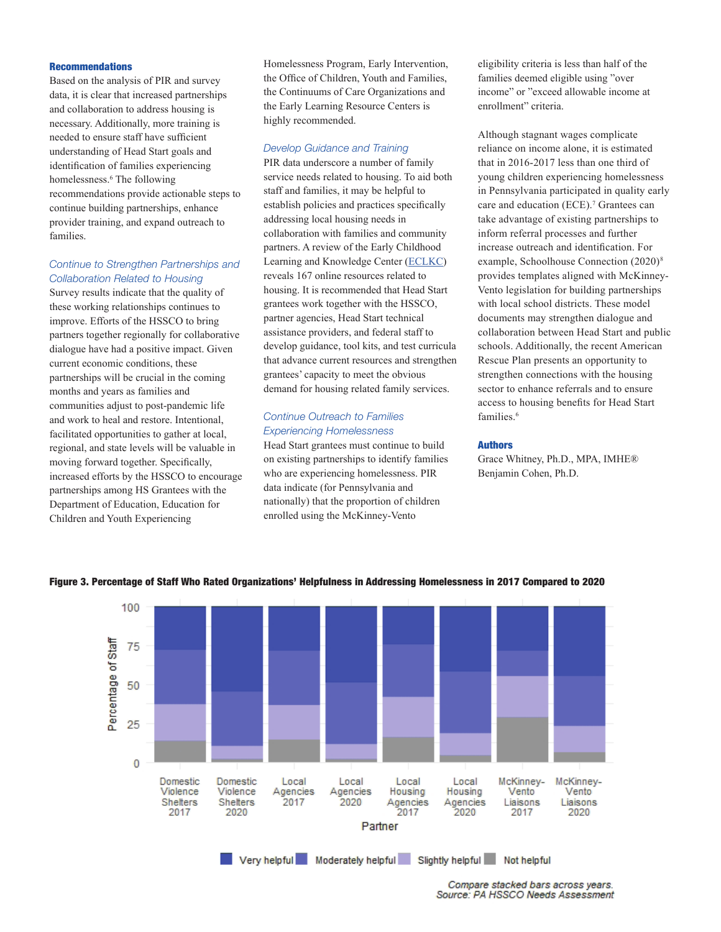#### **Recommendations**

Based on the analysis of PIR and survey data, it is clear that increased partnerships and collaboration to address housing is necessary. Additionally, more training is needed to ensure staff have sufficient understanding of Head Start goals and identification of families experiencing homelessness.<sup>6</sup> The following recommendations provide actionable steps to continue building partnerships, enhance provider training, and expand outreach to families.

# *Continue to Strengthen Partnerships and Collaboration Related to Housing*

Survey results indicate that the quality of these working relationships continues to improve. Efforts of the HSSCO to bring partners together regionally for collaborative dialogue have had a positive impact. Given current economic conditions, these partnerships will be crucial in the coming months and years as families and communities adjust to post-pandemic life and work to heal and restore. Intentional, facilitated opportunities to gather at local, regional, and state levels will be valuable in moving forward together. Specifically, increased efforts by the HSSCO to encourage partnerships among HS Grantees with the Department of Education, Education for Children and Youth Experiencing

Homelessness Program, Early Intervention, the Office of Children, Youth and Families, the Continuums of Care Organizations and the Early Learning Resource Centers is highly recommended.

#### *Develop Guidance and Training*

PIR data underscore a number of family service needs related to housing. To aid both staff and families, it may be helpful to establish policies and practices specifically addressing local housing needs in collaboration with families and community partners. A review of the Early Childhood Learning and Knowledge Center ([ECLKC](https://eclkc.ohs.acf.hhs.gov/)) reveals 167 online resources related to housing. It is recommended that Head Start grantees work together with the HSSCO, partner agencies, Head Start technical assistance providers, and federal staff to develop guidance, tool kits, and test curricula that advance current resources and strengthen grantees' capacity to meet the obvious demand for housing related family services.

#### *Continue Outreach to Families Experiencing Homelessness*

Head Start grantees must continue to build on existing partnerships to identify families who are experiencing homelessness. PIR data indicate (for Pennsylvania and nationally) that the proportion of children enrolled using the McKinney-Vento

eligibility criteria is less than half of the families deemed eligible using "over income" or "exceed allowable income at enrollment" criteria.

Although stagnant wages complicate reliance on income alone, it is estimated that in 2016-2017 less than one third of young children experiencing homelessness in Pennsylvania participated in quality early care and education (ECE).<sup>7</sup> Grantees can take advantage of existing partnerships to inform referral processes and further increase outreach and identification. For example, Schoolhouse Connection (2020)<sup>8</sup> provides templates aligned with McKinney-Vento legislation for building partnerships with local school districts. These model documents may strengthen dialogue and collaboration between Head Start and public schools. Additionally, the recent American Rescue Plan presents an opportunity to strengthen connections with the housing sector to enhance referrals and to ensure access to housing benefits for Head Start families.<sup>6</sup>

#### **Authors**

Grace Whitney, Ph.D., MPA, IMHE® Benjamin Cohen, Ph.D.



# Figure 3. Percentage of Staff Who Rated Organizations' Helpfulness in Addressing Homelessness in 2017 Compared to 2020